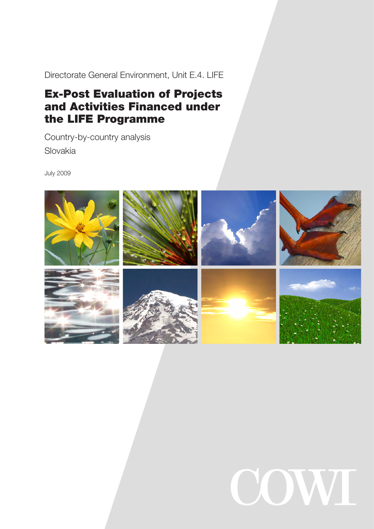Directorate General Environment, Unit E.4. LIFE

# Ex-Post Evaluation of Projects and Activities Financed under the LIFE Programme

Country-by-country analysis Slovakia

July 2009



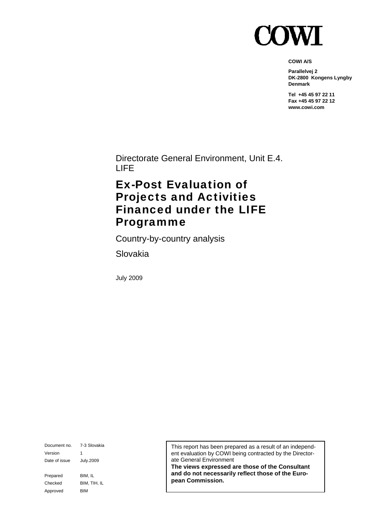

**COWI A/S** 

**Parallelvej 2 DK-2800 Kongens Lyngby Denmark** 

**Tel +45 45 97 22 11 Fax +45 45 97 22 12 www.cowi.com** 

Directorate General Environment, Unit E.4. LIFE

## Ex-Post Evaluation of Projects and Activities Financed under the LIFE Programme

Country-by-country analysis

Slovakia

July 2009

Document no. 7-3 Slovakia Version 1 Date of issue July.2009 Prepared BIM, IL Checked BIM, TIH, IL Approved BIM

This report has been prepared as a result of an independent evaluation by COWI being contracted by the Directorate General Environment

**The views expressed are those of the Consultant and do not necessarily reflect those of the European Commission.**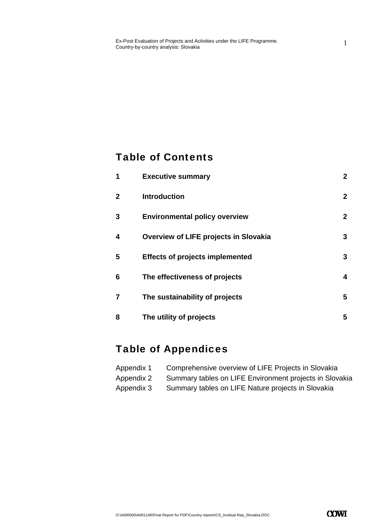#### Table of Contents

| 1            | <b>Executive summary</b>               | $\mathbf{2}$ |
|--------------|----------------------------------------|--------------|
| $\mathbf{2}$ | <b>Introduction</b>                    | $\mathbf{2}$ |
| 3            | <b>Environmental policy overview</b>   | $\mathbf{2}$ |
| 4            | Overview of LIFE projects in Slovakia  | 3            |
| 5            | <b>Effects of projects implemented</b> | 3            |
| 6            | The effectiveness of projects          | 4            |
| 7            | The sustainability of projects         | 5            |
| 8            | The utility of projects                | 5            |

#### Table of Appendices

| Appendix 1 | Comprehensive overview of LIFE Projects in Slovakia     |
|------------|---------------------------------------------------------|
| Appendix 2 | Summary tables on LIFE Environment projects in Slovakia |
| Appendix 3 | Summary tables on LIFE Nature projects in Slovakia      |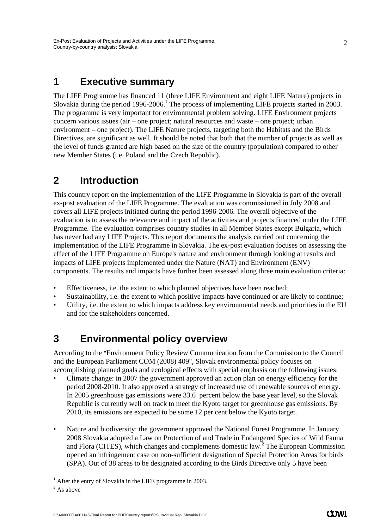#### **1 Executive summary**

The LIFE Programme has financed 11 (three LIFE Environment and eight LIFE Nature) projects in Slovakia during the period 1996-2006.<sup>1</sup> The process of implementing LIFE projects started in 2003. The programme is very important for environmental problem solving. LIFE Environment projects concern various issues (air – one project; natural resources and waste – one project; urban environment – one project). The LIFE Nature projects, targeting both the Habitats and the Birds Directives, are significant as well. It should be noted that both that the number of projects as well as the level of funds granted are high based on the size of the country (population) compared to other new Member States (i.e. Poland and the Czech Republic).

#### **2 Introduction**

This country report on the implementation of the LIFE Programme in Slovakia is part of the overall ex-post evaluation of the LIFE Programme. The evaluation was commissioned in July 2008 and covers all LIFE projects initiated during the period 1996-2006. The overall objective of the evaluation is to assess the relevance and impact of the activities and projects financed under the LIFE Programme. The evaluation comprises country studies in all Member States except Bulgaria, which has never had any LIFE Projects. This report documents the analysis carried out concerning the implementation of the LIFE Programme in Slovakia. The ex-post evaluation focuses on assessing the effect of the LIFE Programme on Europe's nature and environment through looking at results and impacts of LIFE projects implemented under the Nature (NAT) and Environment (ENV) components. The results and impacts have further been assessed along three main evaluation criteria:

- Effectiveness, i.e. the extent to which planned objectives have been reached;
- Sustainability, i.e. the extent to which positive impacts have continued or are likely to continue;
- Utility, i.e. the extent to which impacts address key environmental needs and priorities in the EU and for the stakeholders concerned.

#### **3 Environmental policy overview**

According to the "Environment Policy Review Communication from the Commission to the Council and the European Parliament COM (2008) 409", Slovak environmental policy focuses on accomplishing planned goals and ecological effects with special emphasis on the following issues:

- Climate change: in 2007 the government approved an action plan on energy efficiency for the period 2008-2010. It also approved a strategy of increased use of renewable sources of energy. In 2005 greenhouse gas emissions were 33.6 percent below the base year level, so the Slovak Republic is currently well on track to meet the Kyoto target for greenhouse gas emissions. By 2010, its emissions are expected to be some 12 per cent below the Kyoto target.
- Nature and biodiversity: the government approved the National Forest Programme. In January 2008 Slovakia adopted a Law on Protection of and Trade in Endangered Species of Wild Fauna and Flora (CITES), which changes and complements domestic law.<sup>2</sup> The European Commission opened an infringement case on non-sufficient designation of Special Protection Areas for birds (SPA). Out of 38 areas to be designated according to the Birds Directive only 5 have been

-

<sup>&</sup>lt;sup>1</sup> After the entry of Slovakia in the LIFE programme in 2003.

 $2$  As above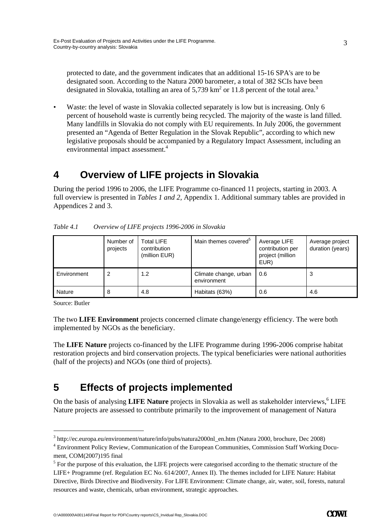protected to date, and the government indicates that an additional 15-16 SPA's are to be designated soon. According to the Natura 2000 barometer, a total of 382 SCIs have been designated in Slovakia, totalling an area of 5,739 km<sup>2</sup> or 11.8 percent of the total area.<sup>3</sup>

Waste: the level of waste in Slovakia collected separately is low but is increasing. Only 6 percent of household waste is currently being recycled. The majority of the waste is land filled. Many landfills in Slovakia do not comply with EU requirements. In July 2006, the government presented an "Agenda of Better Regulation in the Slovak Republic", according to which new legislative proposals should be accompanied by a Regulatory Impact Assessment, including an environmental impact assessment.<sup>4</sup>

#### **4 Overview of LIFE projects in Slovakia**

During the period 1996 to 2006, the LIFE Programme co-financed 11 projects, starting in 2003. A full overview is presented in *Tables 1 and 2,* Appendix 1. Additional summary tables are provided in Appendices 2 and 3.

|             | Number of<br>projects | <b>Total LIFE</b><br>contribution<br>(million EUR) | Main themes covered <sup>5</sup>     | Average LIFE<br>contribution per<br>project (million<br>EUR) | Average project<br>duration (years) |
|-------------|-----------------------|----------------------------------------------------|--------------------------------------|--------------------------------------------------------------|-------------------------------------|
| Environment |                       | 1.2                                                | Climate change, urban<br>environment | 0.6                                                          | 3                                   |
| Nature      | 8                     | 4.8                                                | Habitats (63%)                       | 0.6                                                          | 4.6                                 |

*Table 4.1 Overview of LIFE projects 1996-2006 in Slovakia* 

Source: Butler

-

The two **LIFE Environment** projects concerned climate change/energy efficiency. The were both implemented by NGOs as the beneficiary.

The **LIFE Nature** projects co-financed by the LIFE Programme during 1996-2006 comprise habitat restoration projects and bird conservation projects. The typical beneficiaries were national authorities (half of the projects) and NGOs (one third of projects).

## **5 Effects of projects implemented**

On the basis of analysing LIFE Nature projects in Slovakia as well as stakeholder interviews,<sup>6</sup> LIFE Nature projects are assessed to contribute primarily to the improvement of management of Natura

O:\A000000\A001146\Final Report for PDF\Country reports\CS\_Invidual Rep\_Slovakia.DOC

<sup>&</sup>lt;sup>3</sup> http://ec.europa.eu/environment/nature/info/pubs/natura2000nl\_en.htm (Natura 2000, brochure, Dec 2008)

<sup>4</sup> Environment Policy Review, Communication of the European Communities, Commission Staff Working Document, COM(2007)195 final

 $<sup>5</sup>$  For the purpose of this evaluation, the LIFE projects were categorised according to the thematic structure of the</sup> LIFE+ Programme (ref. Regulation EC No. 614/2007, Annex II). The themes included for LIFE Nature: Habitat Directive, Birds Directive and Biodiversity. For LIFE Environment: Climate change, air, water, soil, forests, natural resources and waste, chemicals, urban environment, strategic approaches.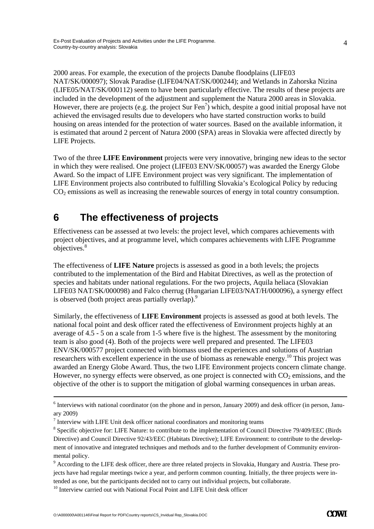2000 areas. For example, the execution of the projects Danube floodplains (LIFE03 NAT/SK/000097); Slovak Paradise (LIFE04/NAT/SK/000244); and Wetlands in Zahorska Nizina (LIFE05/NAT/SK/000112) seem to have been particularly effective. The results of these projects are included in the development of the adjustment and supplement the Natura 2000 areas in Slovakia. However, there are projects (e.g. the project Sur Fen<sup>7</sup>) which, despite a good initial proposal have not achieved the envisaged results due to developers who have started construction works to build housing on areas intended for the protection of water sources. Based on the available information, it is estimated that around 2 percent of Natura 2000 (SPA) areas in Slovakia were affected directly by LIFE Projects.

Two of the three **LIFE Environment** projects were very innovative, bringing new ideas to the sector in which they were realised. One project (LIFE03 ENV/SK/00057) was awarded the Energy Globe Award. So the impact of LIFE Environment project was very significant. The implementation of LIFE Environment projects also contributed to fulfilling Slovakia's Ecological Policy by reducing  $CO<sub>2</sub>$  emissions as well as increasing the renewable sources of energy in total country consumption.

#### **6 The effectiveness of projects**

Effectiveness can be assessed at two levels: the project level, which compares achievements with project objectives, and at programme level, which compares achievements with LIFE Programme objectives.<sup>8</sup>

The effectiveness of **LIFE Nature** projects is assessed as good in a both levels; the projects contributed to the implementation of the Bird and Habitat Directives, as well as the protection of species and habitats under national regulations. For the two projects, Aquila heliaca (Slovakian LIFE03 NAT/SK/000098) and Falco cherrug (Hungarian LIFE03/NAT/H/000096), a synergy effect is observed (both project areas partially overlap).<sup>9</sup>

Similarly, the effectiveness of **LIFE Environment** projects is assessed as good at both levels. The national focal point and desk officer rated the effectiveness of Environment projects highly at an average of 4.5 - 5 on a scale from 1-5 where five is the highest. The assessment by the monitoring team is also good (4). Both of the projects were well prepared and presented. The LIFE03 ENV/SK/000577 project connected with biomass used the experiences and solutions of Austrian researchers with excellent experience in the use of biomass as renewable energy.10 This project was awarded an Energy Globe Award. Thus, the two LIFE Environment projects concern climate change. However, no synergy effects were observed, as one project is connected with  $CO<sub>2</sub>$  emissions, and the objective of the other is to support the mitigation of global warming consequences in urban areas.

 $-$ <br>6  $<sup>6</sup>$  Interviews with national coordinator (on the phone and in person, January 2009) and desk officer (in person, Janu-</sup> ary 2009)

 $<sup>7</sup>$  Interview with LIFE Unit desk officer national coordinators and monitoring teams</sup>

<sup>&</sup>lt;sup>8</sup> Specific objective for: LIFE Nature: to contribute to the implementation of Council Directive 79/409/EEC (Birds Directive) and Council Directive 92/43/EEC (Habitats Directive); LIFE Environment: to contribute to the development of innovative and integrated techniques and methods and to the further development of Community environmental policy.

<sup>&</sup>lt;sup>9</sup> According to the LIFE desk officer, there are three related projects in Slovakia, Hungary and Austria. These projects have had regular meetings twice a year, and perform common counting. Initially, the three projects were intended as one, but the participants decided not to carry out individual projects, but collaborate.

 $10$  Interview carried out with National Focal Point and LIFE Unit desk officer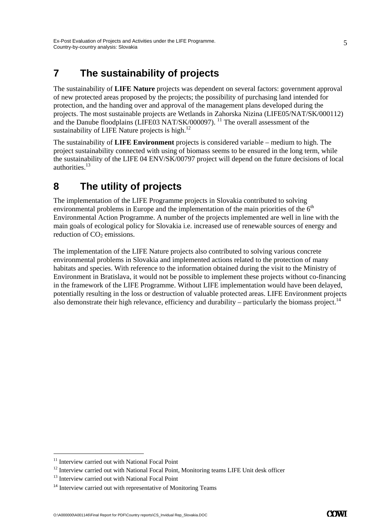## **7 The sustainability of projects**

The sustainability of **LIFE Nature** projects was dependent on several factors: government approval of new protected areas proposed by the projects; the possibility of purchasing land intended for protection, and the handing over and approval of the management plans developed during the projects. The most sustainable projects are Wetlands in Zahorska Nizina (LIFE05/NAT/SK/000112) and the Danube floodplains (LIFE03 NAT/SK/000097). <sup>11</sup> The overall assessment of the sustainability of LIFE Nature projects is high. $12$ 

The sustainability of **LIFE Environment** projects is considered variable – medium to high. The project sustainability connected with using of biomass seems to be ensured in the long term, while the sustainability of the LIFE 04 ENV/SK/00797 project will depend on the future decisions of local authorities.13

## **8 The utility of projects**

The implementation of the LIFE Programme projects in Slovakia contributed to solving environmental problems in Europe and the implementation of the main priorities of the  $6<sup>th</sup>$ Environmental Action Programme. A number of the projects implemented are well in line with the main goals of ecological policy for Slovakia i.e. increased use of renewable sources of energy and reduction of CO<sub>2</sub> emissions.

The implementation of the LIFE Nature projects also contributed to solving various concrete environmental problems in Slovakia and implemented actions related to the protection of many habitats and species. With reference to the information obtained during the visit to the Ministry of Environment in Bratislava, it would not be possible to implement these projects without co-financing in the framework of the LIFE Programme. Without LIFE implementation would have been delayed, potentially resulting in the loss or destruction of valuable protected areas. LIFE Environment projects also demonstrate their high relevance, efficiency and durability – particularly the biomass project.<sup>14</sup>

-

<sup>&</sup>lt;sup>11</sup> Interview carried out with National Focal Point

 $12$  Interview carried out with National Focal Point, Monitoring teams LIFE Unit desk officer

<sup>&</sup>lt;sup>13</sup> Interview carried out with National Focal Point

<sup>&</sup>lt;sup>14</sup> Interview carried out with representative of Monitoring Teams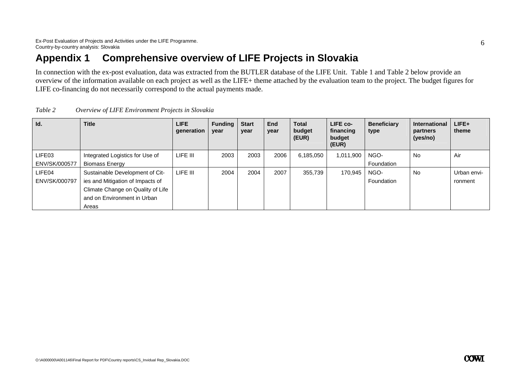#### **Appendix 1 Comprehensive overview of LIFE Projects in Slovakia**

In connection with the ex-post evaluation, data was extracted from the BUTLER database of the LIFE Unit. Table 1 and Table 2 below provide an overview of the information available on each project as well as the LIFE+ theme attached by the evaluation team to the project. The budget figures for LIFE co-financing do not necessarily correspond to the actual payments made.

| Id.           | <b>Title</b>                      | <b>LIFE</b><br>generation | <b>Funding</b><br>year | <b>Start</b><br>year | <b>End</b><br>year | <b>Total</b><br>budget<br>(EUR) | LIFE co-<br>financing<br>budget<br>(EUR) | <b>Beneficiary</b><br>type | <b>International</b><br>partners<br>(yes/no) | $LIFE+$<br>theme |
|---------------|-----------------------------------|---------------------------|------------------------|----------------------|--------------------|---------------------------------|------------------------------------------|----------------------------|----------------------------------------------|------------------|
| LIFE03        | Integrated Logistics for Use of   | LIFE III                  | 2003                   | 2003                 | 2006               | 6,185,050                       | 1,011,900                                | NGO-                       | No.                                          | Air              |
| ENV/SK/000577 | <b>Biomass Energy</b>             |                           |                        |                      |                    |                                 |                                          | Foundation                 |                                              |                  |
| LIFE04        | Sustainable Development of Cit-   | LIFE III                  | 2004                   | 2004                 | 2007               | 355,739                         | 170,945                                  | NGO-                       | <b>No</b>                                    | Urban envi-      |
| ENV/SK/000797 | ies and Mitigation of Impacts of  |                           |                        |                      |                    |                                 |                                          | Foundation                 |                                              | ronment          |
|               | Climate Change on Quality of Life |                           |                        |                      |                    |                                 |                                          |                            |                                              |                  |
|               | and on Environment in Urban       |                           |                        |                      |                    |                                 |                                          |                            |                                              |                  |
|               | Areas                             |                           |                        |                      |                    |                                 |                                          |                            |                                              |                  |

*Table 2 Overview of LIFE Environment Projects in Slovakia*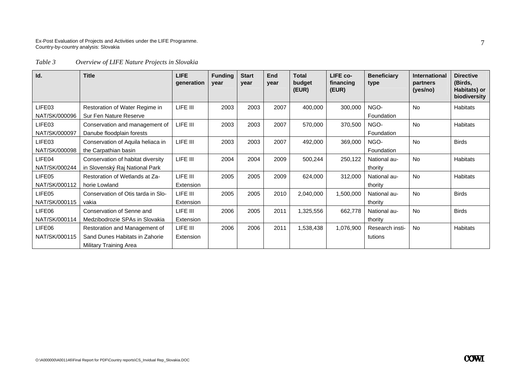#### Ex-Post Evaluation of Projects and Activities under the LIFE Programme. Country-by-country analysis: Slovakia

#### *Table 3 Overview of LIFE Nature Projects in Slovakia*

| Id.           | <b>Title</b>                       | LIFE<br>generation | <b>Funding</b><br>year | <b>Start</b><br>year | <b>End</b><br>year | <b>Total</b><br>budget<br>(EUR) | LIFE co-<br>financing<br>(EUR) | <b>Beneficiary</b><br>type | <b>International</b><br>partners<br>(yes/no) | <b>Directive</b><br>(Birds,<br>Habitats) or<br>biodiversity |
|---------------|------------------------------------|--------------------|------------------------|----------------------|--------------------|---------------------------------|--------------------------------|----------------------------|----------------------------------------------|-------------------------------------------------------------|
| LIFE03        | Restoration of Water Regime in     | LIFE III           | 2003                   | 2003                 | 2007               | 400,000                         | 300,000                        | NGO-                       | <b>No</b>                                    | Habitats                                                    |
| NAT/SK/000096 | Sur Fen Nature Reserve             |                    |                        |                      |                    |                                 |                                | Foundation                 |                                              |                                                             |
| LIFE03        | Conservation and management of     | LIFE III           | 2003                   | 2003                 | 2007               | 570,000                         | 370,500                        | NGO-                       | <b>No</b>                                    | <b>Habitats</b>                                             |
| NAT/SK/000097 | Danube floodplain forests          |                    |                        |                      |                    |                                 |                                | Foundation                 |                                              |                                                             |
| LIFE03        | Conservation of Aquila heliaca in  | LIFE III           | 2003                   | 2003                 | 2007               | 492,000                         | 369,000                        | NGO-                       | <b>No</b>                                    | <b>Birds</b>                                                |
| NAT/SK/000098 | the Carpathian basin               |                    |                        |                      |                    |                                 |                                | Foundation                 |                                              |                                                             |
| LIFE04        | Conservation of habitat diversity  | LIFE III           | 2004                   | 2004                 | 2009               | 500,244                         | 250,122                        | National au-               | <b>No</b>                                    | <b>Habitats</b>                                             |
| NAT/SK/000244 | in Slovenský Raj National Park     |                    |                        |                      |                    |                                 |                                | thority                    |                                              |                                                             |
| LIFE05        | Restoration of Wetlands at Za-     | LIFE III           | 2005                   | 2005                 | 2009               | 624,000                         | 312,000                        | National au-               | No                                           | Habitats                                                    |
| NAT/SK/000112 | horie Lowland                      | Extension          |                        |                      |                    |                                 |                                | thority                    |                                              |                                                             |
| LIFE05        | Conservation of Otis tarda in Slo- | LIFE III           | 2005                   | 2005                 | 2010               | 2,040,000                       | 1,500,000                      | National au-               | No                                           | <b>Birds</b>                                                |
| NAT/SK/000115 | vakia                              | Extension          |                        |                      |                    |                                 |                                | thority                    |                                              |                                                             |
| LIFE06        | Conservation of Senne and          | LIFE III           | 2006                   | 2005                 | 2011               | 1,325,556                       | 662,778                        | National au-               | <b>No</b>                                    | <b>Birds</b>                                                |
| NAT/SK/000114 | Medzibodrozie SPAs in Slovakia     | Extension          |                        |                      |                    |                                 |                                | thority                    |                                              |                                                             |
| LIFE06        | Restoration and Management of      | LIFE III           | 2006                   | 2006                 | 2011               | 1,538,438                       | 1,076,900                      | Research insti-            | <b>No</b>                                    | <b>Habitats</b>                                             |
| NAT/SK/000115 | Sand Dunes Habitats in Zahorie     | Extension          |                        |                      |                    |                                 |                                | tutions                    |                                              |                                                             |
|               | Military Training Area             |                    |                        |                      |                    |                                 |                                |                            |                                              |                                                             |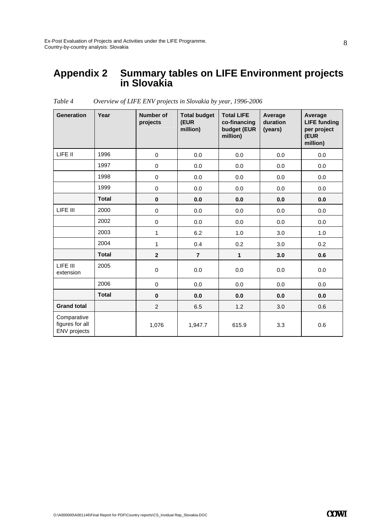#### **Appendix 2 Summary tables on LIFE Environment projects in Slovakia**

| <b>Generation</b>                                     | Year         | Number of<br>projects | <b>Total budget</b><br>(EUR<br>million) | <b>Total LIFE</b><br>co-financing<br>budget (EUR<br>million) | Average<br>duration<br>(years) | Average<br><b>LIFE funding</b><br>per project<br>(EUR<br>million) |
|-------------------------------------------------------|--------------|-----------------------|-----------------------------------------|--------------------------------------------------------------|--------------------------------|-------------------------------------------------------------------|
| LIFE II                                               | 1996         | 0                     | 0.0                                     | 0.0                                                          | 0.0                            | 0.0                                                               |
|                                                       | 1997         | $\pmb{0}$             | 0.0                                     | 0.0                                                          | 0.0                            | 0.0                                                               |
|                                                       | 1998         | $\pmb{0}$             | 0.0                                     | 0.0                                                          | 0.0                            | 0.0                                                               |
|                                                       | 1999         | $\pmb{0}$             | 0.0                                     | 0.0                                                          | 0.0                            | 0.0                                                               |
|                                                       | <b>Total</b> | $\pmb{0}$             | 0.0                                     | 0.0                                                          | 0.0                            | 0.0                                                               |
| LIFE III                                              | 2000         | $\pmb{0}$             | 0.0                                     | 0.0                                                          | 0.0                            | 0.0                                                               |
|                                                       | 2002         | 0                     | 0.0                                     | 0.0                                                          | 0.0                            | 0.0                                                               |
|                                                       | 2003         | $\mathbf{1}$          | 6.2                                     | 1.0                                                          | 3.0                            | 1.0                                                               |
|                                                       | 2004         | 1                     | 0.4                                     | 0.2                                                          | 3.0                            | 0.2                                                               |
|                                                       | <b>Total</b> | $\mathbf{2}$          | $\overline{7}$                          | $\mathbf{1}$                                                 | 3.0                            | 0.6                                                               |
| LIFE III<br>extension                                 | 2005         | 0                     | 0.0                                     | 0.0                                                          | 0.0                            | 0.0                                                               |
|                                                       | 2006         | 0                     | 0.0                                     | 0.0                                                          | 0.0                            | 0.0                                                               |
|                                                       | <b>Total</b> | $\bf{0}$              | 0.0                                     | 0.0                                                          | 0.0                            | 0.0                                                               |
| <b>Grand total</b>                                    |              | $\overline{2}$        | 6.5                                     | 1.2                                                          | 3.0                            | 0.6                                                               |
| Comparative<br>figures for all<br><b>ENV</b> projects |              | 1,076                 | 1,947.7                                 | 615.9                                                        | 3.3                            | 0.6                                                               |

*Table 4 Overview of LIFE ENV projects in Slovakia by year, 1996-2006*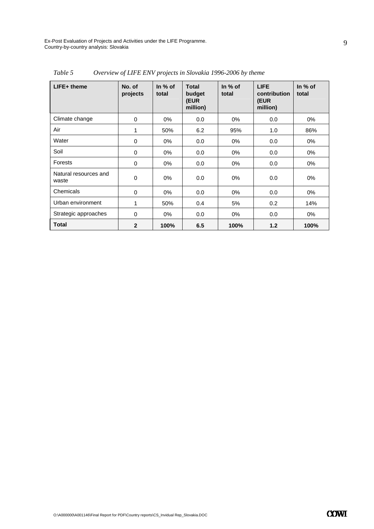Ex-Post Evaluation of Projects and Activities under the LIFE Programme. Country-by-country analysis: Slovakia

| $LIFE+$ theme                  | No. of<br>projects | In $%$ of<br>total | <b>Total</b><br>budget<br>(EUR<br>million) | In $%$ of<br>total | <b>LIFE</b><br>contribution<br>(EUR<br>million) | In $%$ of<br>total |
|--------------------------------|--------------------|--------------------|--------------------------------------------|--------------------|-------------------------------------------------|--------------------|
| Climate change                 | $\mathbf 0$        | $0\%$              | 0.0                                        | $0\%$              | 0.0                                             | 0%                 |
| Air                            | 1                  | 50%                | 6.2                                        | 95%                | 1.0                                             | 86%                |
| Water                          | 0                  | $0\%$              | 0.0                                        | $0\%$              | 0.0                                             | 0%                 |
| Soil                           | 0                  | $0\%$              | 0.0                                        | $0\%$              | 0.0                                             | $0\%$              |
| Forests                        | 0                  | $0\%$              | 0.0                                        | 0%                 | 0.0                                             | 0%                 |
| Natural resources and<br>waste | 0                  | $0\%$              | 0.0                                        | $0\%$              | 0.0                                             | 0%                 |
| Chemicals                      | 0                  | $0\%$              | 0.0                                        | $0\%$              | 0.0                                             | 0%                 |
| Urban environment              | 1                  | 50%                | 0.4                                        | 5%                 | 0.2                                             | 14%                |
| Strategic approaches           | $\mathbf 0$        | 0%                 | 0.0                                        | 0%                 | 0.0                                             | 0%                 |
| <b>Total</b>                   | $\overline{2}$     | 100%               | 6.5                                        | 100%               | 1.2                                             | 100%               |

*Table 5 Overview of LIFE ENV projects in Slovakia 1996-2006 by theme*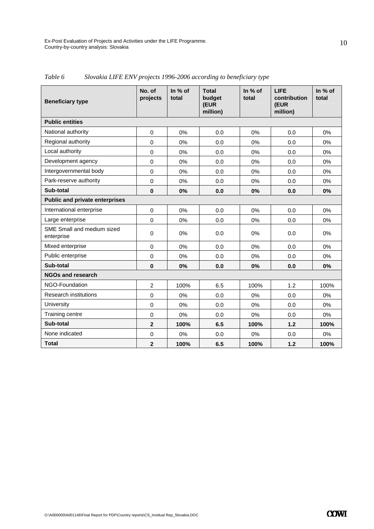| <b>Beneficiary type</b>                  | No. of<br>projects | In % of<br>total | <b>Total</b><br>budget<br>(EUR<br>million) | In % of<br>total | <b>LIFE</b><br>contribution<br>(EUR<br>million) | In % of<br>total |
|------------------------------------------|--------------------|------------------|--------------------------------------------|------------------|-------------------------------------------------|------------------|
| <b>Public entities</b>                   |                    |                  |                                            |                  |                                                 |                  |
| National authority                       | $\mathbf 0$        | 0%               | 0.0                                        | 0%               | 0.0                                             | 0%               |
| Regional authority                       | $\Omega$           | 0%               | 0.0                                        | 0%               | 0.0                                             | $0\%$            |
| Local authority                          | 0                  | 0%               | 0.0                                        | 0%               | 0.0                                             | $0\%$            |
| Development agency                       | $\mathbf 0$        | 0%               | 0.0                                        | 0%               | 0.0                                             | 0%               |
| Intergovernmental body                   | $\mathbf 0$        | 0%               | 0.0                                        | 0%               | 0.0                                             | 0%               |
| Park-reserve authority                   | 0                  | 0%               | 0.0                                        | 0%               | 0.0                                             | 0%               |
| Sub-total                                | $\mathbf 0$        | 0%               | 0.0                                        | 0%               | 0.0                                             | 0%               |
| <b>Public and private enterprises</b>    |                    |                  |                                            |                  |                                                 |                  |
| International enterprise                 | $\Omega$           | 0%               | 0.0                                        | 0%               | 0.0                                             | 0%               |
| Large enterprise                         | $\mathbf 0$        | 0%               | 0.0                                        | 0%               | 0.0                                             | 0%               |
| SME Small and medium sized<br>enterprise | $\mathbf 0$        | 0%               | 0.0                                        | 0%               | 0.0                                             | 0%               |
| Mixed enterprise                         | $\mathbf 0$        | 0%               | 0.0                                        | 0%               | 0.0                                             | 0%               |
| Public enterprise                        | 0                  | 0%               | 0.0                                        | 0%               | 0.0                                             | 0%               |
| Sub-total                                | $\mathbf{0}$       | 0%               | 0.0                                        | 0%               | 0.0                                             | 0%               |
| <b>NGOs and research</b>                 |                    |                  |                                            |                  |                                                 |                  |
| NGO-Foundation                           | $\overline{c}$     | 100%             | 6.5                                        | 100%             | 1.2                                             | 100%             |
| <b>Research institutions</b>             | $\mathbf 0$        | 0%               | 0.0                                        | 0%               | 0.0                                             | 0%               |
| University                               | $\mathbf 0$        | 0%               | 0.0                                        | 0%               | 0.0                                             | 0%               |
| Training centre                          | $\mathbf 0$        | 0%               | 0.0                                        | 0%               | 0.0                                             | $0\%$            |
| Sub-total                                | $\overline{2}$     | 100%             | 6.5                                        | 100%             | 1.2                                             | 100%             |
| None indicated                           | 0                  | 0%               | 0.0                                        | 0%               | 0.0                                             | 0%               |
| <b>Total</b>                             | $\overline{2}$     | 100%             | 6.5                                        | 100%             | $1.2$                                           | 100%             |

*Table 6 Slovakia LIFE ENV projects 1996-2006 according to beneficiary type*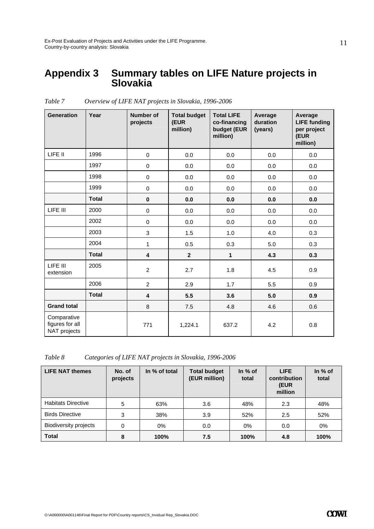#### **Appendix 3 Summary tables on LIFE Nature projects in Slovakia**

| <b>Generation</b>                              | Year         | <b>Number of</b><br>projects | <b>Total budget</b><br>(EUR<br>million) | <b>Total LIFE</b><br>co-financing<br>budget (EUR<br>million) | Average<br>duration<br>(years) | Average<br><b>LIFE</b> funding<br>per project<br>(EUR<br>million) |
|------------------------------------------------|--------------|------------------------------|-----------------------------------------|--------------------------------------------------------------|--------------------------------|-------------------------------------------------------------------|
| LIFE II                                        | 1996         | $\mathbf 0$                  | 0.0                                     | 0.0                                                          | 0.0                            | 0.0                                                               |
|                                                | 1997         | $\pmb{0}$                    | 0.0                                     | 0.0                                                          | 0.0                            | 0.0                                                               |
|                                                | 1998         | $\mathbf 0$                  | 0.0                                     | 0.0                                                          | 0.0                            | 0.0                                                               |
|                                                | 1999         | $\mathbf 0$                  | 0.0                                     | 0.0                                                          | 0.0                            | 0.0                                                               |
|                                                | <b>Total</b> | $\pmb{0}$                    | 0.0                                     | 0.0                                                          | 0.0                            | 0.0                                                               |
| LIFE III                                       | 2000         | 0                            | 0.0                                     | 0.0                                                          | 0.0                            | 0.0                                                               |
|                                                | 2002         | $\mathbf 0$                  | 0.0                                     | 0.0                                                          | 0.0                            | 0.0                                                               |
|                                                | 2003         | 3                            | 1.5                                     | 1.0                                                          | 4.0                            | 0.3                                                               |
|                                                | 2004         | $\mathbf{1}$                 | 0.5                                     | 0.3                                                          | 5.0                            | 0.3                                                               |
|                                                | <b>Total</b> | 4                            | $\overline{2}$                          | $\mathbf{1}$                                                 | 4.3                            | 0.3                                                               |
| LIFE III<br>extension                          | 2005         | $\overline{2}$               | 2.7                                     | 1.8                                                          | 4.5                            | 0.9                                                               |
|                                                | 2006         | $\overline{2}$               | 2.9                                     | 1.7                                                          | 5.5                            | 0.9                                                               |
|                                                | <b>Total</b> | 4                            | 5.5                                     | 3.6                                                          | 5.0                            | 0.9                                                               |
| <b>Grand total</b>                             |              | $\,8\,$                      | 7.5                                     | 4.8                                                          | 4.6                            | 0.6                                                               |
| Comparative<br>figures for all<br>NAT projects |              | 771                          | 1,224.1                                 | 637.2                                                        | 4.2                            | 0.8                                                               |

*Table 7 Overview of LIFE NAT projects in Slovakia, 1996-2006* 

*Table 8 Categories of LIFE NAT projects in Slovakia, 1996-2006* 

| <b>LIFE NAT themes</b>       | No. of<br>projects | In % of total | <b>Total budget</b><br>(EUR million) | In $%$ of<br>total | <b>LIFE</b><br>contribution<br>(EUR<br>million | In $%$ of<br>total |
|------------------------------|--------------------|---------------|--------------------------------------|--------------------|------------------------------------------------|--------------------|
| <b>Habitats Directive</b>    | 5                  | 63%           | 3.6                                  | 48%                | 2.3                                            | 48%                |
| <b>Birds Directive</b>       | 3                  | 38%           | 3.9                                  | 52%                | 2.5                                            | 52%                |
| <b>Biodiversity projects</b> | 0                  | 0%            | 0.0                                  | 0%                 | 0.0                                            | $0\%$              |
| <b>Total</b>                 | 8                  | 100%          | 7.5                                  | 100%               | 4.8                                            | 100%               |